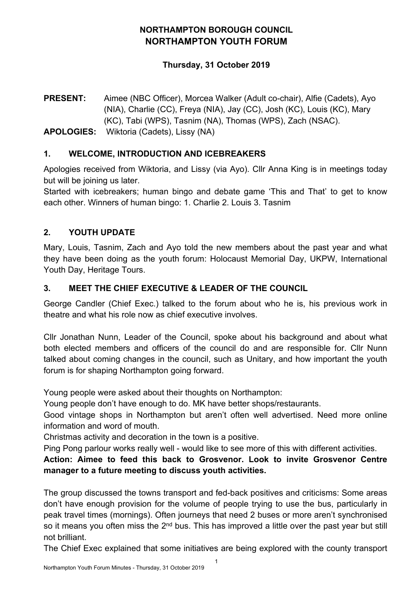# **NORTHAMPTON BOROUGH COUNCIL NORTHAMPTON YOUTH FORUM**

### **Thursday, 31 October 2019**

**PRESENT:** Aimee (NBC Officer), Morcea Walker (Adult co-chair), Alfie (Cadets), Ayo (NIA), Charlie (CC), Freya (NIA), Jay (CC), Josh (KC), Louis (KC), Mary (KC), Tabi (WPS), Tasnim (NA), Thomas (WPS), Zach (NSAC). **APOLOGIES:** Wiktoria (Cadets), Lissy (NA)

### **1. WELCOME, INTRODUCTION AND ICEBREAKERS**

Apologies received from Wiktoria, and Lissy (via Ayo). Cllr Anna King is in meetings today but will be joining us later.

Started with icebreakers; human bingo and debate game 'This and That' to get to know each other. Winners of human bingo: 1. Charlie 2. Louis 3. Tasnim

# **2. YOUTH UPDATE**

Mary, Louis, Tasnim, Zach and Ayo told the new members about the past year and what they have been doing as the youth forum: Holocaust Memorial Day, UKPW, International Youth Day, Heritage Tours.

### **3. MEET THE CHIEF EXECUTIVE & LEADER OF THE COUNCIL**

George Candler (Chief Exec.) talked to the forum about who he is, his previous work in theatre and what his role now as chief executive involves.

Cllr Jonathan Nunn, Leader of the Council, spoke about his background and about what both elected members and officers of the council do and are responsible for. Cllr Nunn talked about coming changes in the council, such as Unitary, and how important the youth forum is for shaping Northampton going forward.

Young people were asked about their thoughts on Northampton:

Young people don't have enough to do. MK have better shops/restaurants.

Good vintage shops in Northampton but aren't often well advertised. Need more online information and word of mouth.

Christmas activity and decoration in the town is a positive.

Ping Pong parlour works really well - would like to see more of this with different activities.

**Action: Aimee to feed this back to Grosvenor. Look to invite Grosvenor Centre manager to a future meeting to discuss youth activities.**

The group discussed the towns transport and fed-back positives and criticisms: Some areas don't have enough provision for the volume of people trying to use the bus, particularly in peak travel times (mornings). Often journeys that need 2 buses or more aren't synchronised so it means you often miss the 2<sup>nd</sup> bus. This has improved a little over the past year but still not brilliant.

The Chief Exec explained that some initiatives are being explored with the county transport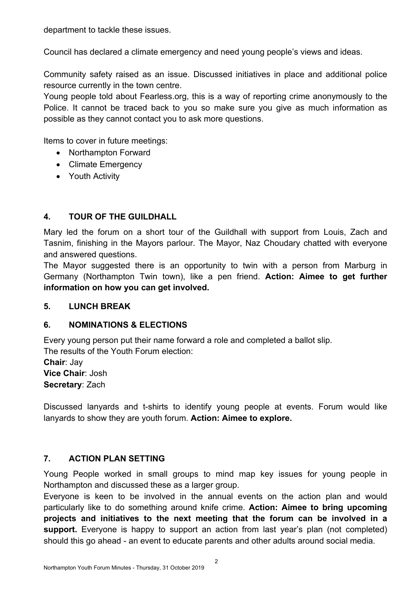department to tackle these issues.

Council has declared a climate emergency and need young people's views and ideas.

Community safety raised as an issue. Discussed initiatives in place and additional police resource currently in the town centre.

Young people told about Fearless.org, this is a way of reporting crime anonymously to the Police. It cannot be traced back to you so make sure you give as much information as possible as they cannot contact you to ask more questions.

Items to cover in future meetings:

- Northampton Forward
- Climate Emergency
- Youth Activity

# **4. TOUR OF THE GUILDHALL**

Mary led the forum on a short tour of the Guildhall with support from Louis, Zach and Tasnim, finishing in the Mayors parlour. The Mayor, Naz Choudary chatted with everyone and answered questions.

The Mayor suggested there is an opportunity to twin with a person from Marburg in Germany (Northampton Twin town), like a pen friend. **Action: Aimee to get further information on how you can get involved.**

#### **5. LUNCH BREAK**

# **6. NOMINATIONS & ELECTIONS**

Every young person put their name forward a role and completed a ballot slip.

The results of the Youth Forum election:

**Chair**: Jay **Vice Chair**: Josh **Secretary**: Zach

Discussed lanyards and t-shirts to identify young people at events. Forum would like lanyards to show they are youth forum. **Action: Aimee to explore.**

# **7. ACTION PLAN SETTING**

Young People worked in small groups to mind map key issues for young people in Northampton and discussed these as a larger group.

Everyone is keen to be involved in the annual events on the action plan and would particularly like to do something around knife crime. **Action: Aimee to bring upcoming projects and initiatives to the next meeting that the forum can be involved in a** support. Everyone is happy to support an action from last year's plan (not completed) should this go ahead - an event to educate parents and other adults around social media.